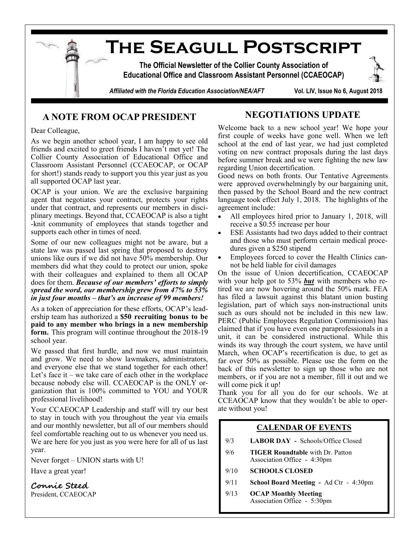

## **A NOTE FROM OCAP PRESIDENT**

## **NEGOTIATIONS UPDATE**

Dear Colleague,

As we begin another school year, I am happy to see old friends and excited to greet friends I haven't met yet! The Collier County Association of Educational Office and Classroom Assistant Personnel (CCAEOCAP, or OCAP for short!) stands ready to support you this year just as you all supported OCAP last year.

OCAP is your union. We are the exclusive bargaining agent that negotiates your contract, protects your rights under that contract, and represents our members in disciplinary meetings. Beyond that, CCAEOCAP is also a tight -knit community of employees that stands together and supports each other in times of need.

Some of our new colleagues might not be aware, but a state law was passed last spring that proposed to destroy unions like ours if we did not have 50% membership. Our members did what they could to protect our union, spoke with their colleagues and explained to them all OCAP does for them. *Because of our members' efforts to simply spread the word, our membership grew from 47% to 53% in just four months – that's an increase of 99 members!* 

As a token of appreciation for these efforts, OCAP's leadership team has authorized a **\$50 recruiting bonus to be paid to any member who brings in a new membership form.** This program will continue throughout the 2018-19 school year.

We passed that first hurdle, and now we must maintain and grow. We need to show lawmakers, administrators, and everyone else that we stand together for each other! Let's face it  $-$  we take care of each other in the workplace because nobody else will. CCAEOCAP is the ONLY organization that is 100% committed to YOU and YOUR professional livelihood!

Your CCAEOCAP Leadership and staff will try our best to stay in touch with you throughout the year via emails and our monthly newsletter, but all of our members should feel comfortable reaching out to us whenever you need us. We are here for you just as you were here for all of us last year.

Never forget – UNION starts with U!

Have a great year!

**Connie Steed** President, CCAEOCAP Welcome back to a new school year! We hope your first couple of weeks have gone well. When we left school at the end of last year, we had just completed voting on new contract proposals during the last days before summer break and we were fighting the new law regarding Union decertification.

Good news on both fronts. Our Tentative Agreements were approved overwhelmingly by our bargaining unit, then passed by the School Board and the new contract language took effect July 1, 2018. The highlights of the agreement include:

- All employees hired prior to January 1, 2018, will receive a \$0.55 increase per hour
- ESE Assistants had two days added to their contract and those who must perform certain medical procedures given a \$250 stipend
- Employees forced to cover the Health Clinics cannot be held liable for civil damages

On the issue of Union decertification, CCAEOCAP with your help got to 53% *but* with members who retired we are now hovering around the 50% mark. FEA has filed a lawsuit against this blatant union busting legislation, part of which says non-instructional units such as ours should not be included in this new law. PERC (Public Employees Regulation Commission) has claimed that if you have even one paraprofessionals in a unit, it can be considered instructional. While this winds its way through the court system, we have until March, when OCAP's recertification is due, to get as far over 50% as possible. Please use the form on the back of this newsletter to sign up those who are not members, or if you are not a member, fill it out and we will come pick it up!

Thank you for all you do for our schools. We at CCEAOCAP know that they wouldn't be able to operate without you!

### **CALENDAR OF EVENTS**

- 9/3 **LABOR DAY -** Schools/Office Closed
- 9/6 **TIGER Roundtable** with Dr. Patton Association Office - 4:30pm
- 9/10 **SCHOOLS CLOSED**
- 9/11 **School Board Meeting -** Ad Ctr 4:30pm
- 9/13 **OCAP Monthly Meeting** Association Office - 5:30pm